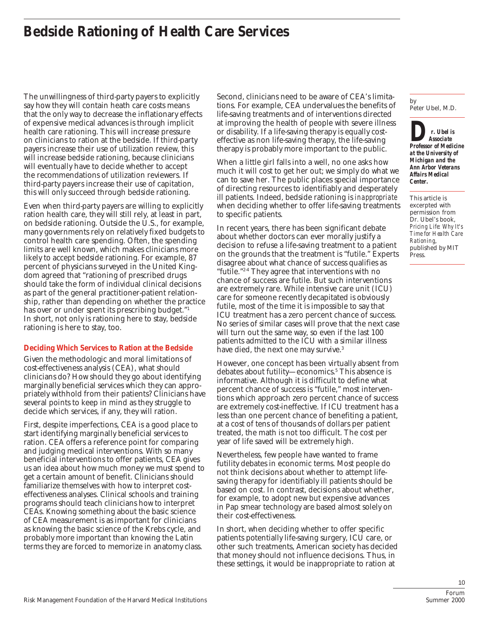The unwillingness of third-party payers to explicitly say how they will contain heath care costs means that the only way to decrease the inflationary effects of expensive medical advances is through implicit health care rationing. This will increase pressure on clinicians to ration at the bedside. If third-party payers increase their use of utilization review, this will increase bedside rationing, because clinicians will eventually have to decide whether to accept the recommendations of utilization reviewers. If third-party payers increase their use of capitation, this will only succeed through bedside rationing.

Even when third-party payers are willing to explicitly ration health care, they will still rely, at least in part, on bedside rationing. Outside the U.S., for example, many governments rely on relatively fixed budgets to control health care spending. Often, the spending limits are well known, which makes clinicians more likely to accept bedside rationing. For example, 87 percent of physicians surveyed in the United Kingdom agreed that "rationing of prescribed drugs should take the form of individual clinical decisions as part of the general practitioner-patient relationship, rather than depending on whether the practice has over or under spent its prescribing budget."1 In short, not only is rationing here to stay, bedside rationing is here to stay, too.

## **Deciding Which Services to Ration at the Bedside**

Given the methodologic and moral limitations of cost-effectiveness analysis (CEA), what should clinicians do? How should they go about identifying marginally beneficial services which they can appropriately withhold from their patients? Clinicians have several points to keep in mind as they struggle to decide which services, if any, they will ration.

First, despite imperfections, CEA is a good place to start identifying marginally beneficial services to ration. CEA offers a reference point for comparing and judging medical interventions. With so many beneficial interventions to offer patients, CEA gives us an idea about how much money we must spend to get a certain amount of benefit. Clinicians should familiarize themselves with how to interpret costeffectiveness analyses. Clinical schools and training programs should teach clinicians how to interpret CEAs. Knowing something about the basic science of CEA measurement is as important for clinicians as knowing the basic science of the Krebs cycle, and probably more important than knowing the Latin terms they are forced to memorize in anatomy class.

Second, clinicians need to be aware of CEA's limitations. For example, CEA undervalues the benefits of life-saving treatments and of interventions directed at improving the health of people with severe illness or disability. If a life-saving therapy is equally costeffective as non life-saving therapy, the life-saving therapy is probably more important to the public.

When a little girl falls into a well, no one asks how much it will cost to get her out; we simply do what we can to save her. The public places special importance of directing resources to identifiably and desperately ill patients. Indeed, bedside rationing is *inappropriate* when deciding whether to offer life-saving treatments to specific patients.

In recent years, there has been significant debate about whether doctors can ever morally justify a decision to refuse a life-saving treatment to a patient on the grounds that the treatment is "futile." Experts disagree about what chance of success qualifies as "futile."2-4 They agree that interventions with no chance of success are futile. But such interventions are extremely rare. While intensive care unit (ICU) care for someone recently decapitated is obviously futile, most of the time it is impossible to say that ICU treatment has a zero percent chance of success. No series of similar cases will prove that the next case will turn out the same way, so even if the last 100 patients admitted to the ICU with a similar illness have died, the next one may survive.<sup>3</sup>

However, one concept has been virtually absent from debates about futility—economics.<sup>5</sup> This absence is informative. Although it is difficult to define what percent chance of success is "futile," most interventions which approach zero percent chance of success are extremely cost-ineffective. If ICU treatment has a less than one percent chance of benefiting a patient, at a cost of tens of thousands of dollars per patient treated, the math is not too difficult. The cost per year of life saved will be extremely high.

Nevertheless, few people have wanted to frame futility debates in economic terms. Most people do not think decisions about whether to attempt lifesaving therapy for identifiably ill patients should be based on cost. In contrast, decisions about whether, for example, to adopt new but expensive advances in Pap smear technology are based almost solely on their cost-effectiveness.

In short, when deciding whether to offer specific patients potentially life-saving surgery, ICU care, or other such treatments, American society has decided that money should not influence decisions. Thus, in these settings, it would be inappropriate to ration at

by Peter Ubel, M.D.

*Dr. Ubel is Professor of Medicine Associate at the University of Michigan and the Ann Arbor Veterans Affairs Medical Center.*

This article is excerpted with permission from Dr. Ubel's book, *Pricing Life: Why It's Time for Health Care Rationing*, published by MIT Press.